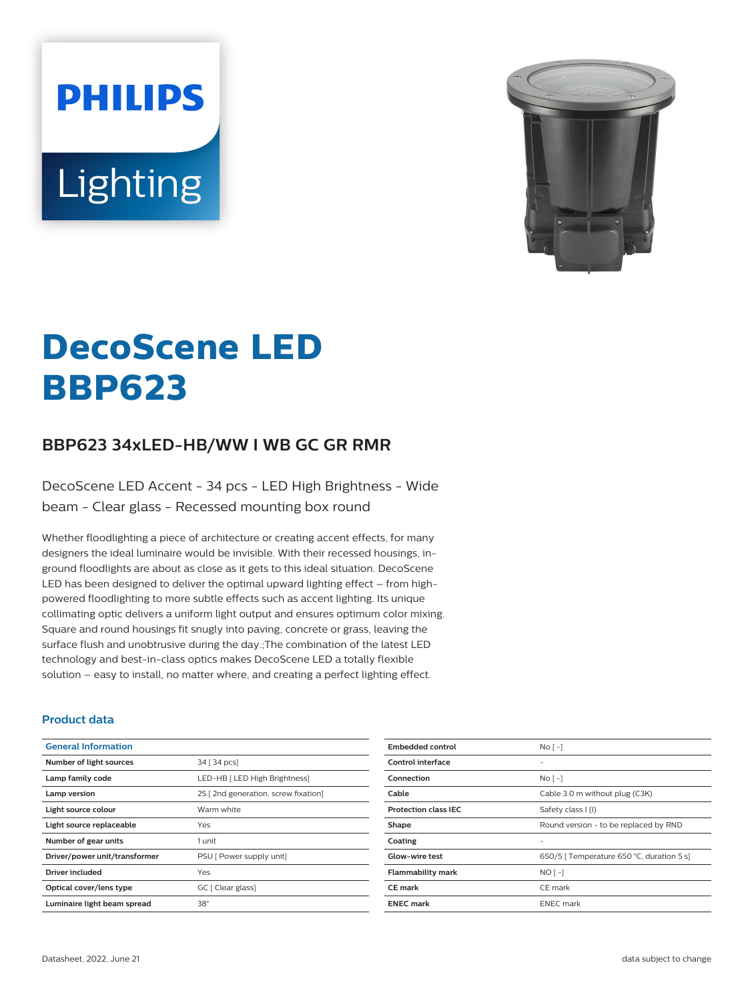**PHILIPS** Lighting



# **DecoScene LED BBP623**

## **BBP623 34xLED-HB/WW I WB GC GR RMR**

DecoScene LED Accent - 34 pcs - LED High Brightness - Wide beam - Clear glass - Recessed mounting box round

Whether floodlighting a piece of architecture or creating accent effects, for many designers the ideal luminaire would be invisible. With their recessed housings, inground floodlights are about as close as it gets to this ideal situation. DecoScene LED has been designed to deliver the optimal upward lighting effect – from highpowered floodlighting to more subtle effects such as accent lighting. Its unique collimating optic delivers a uniform light output and ensures optimum color mixing. Square and round housings fit snugly into paving, concrete or grass, leaving the surface flush and unobtrusive during the day.;The combination of the latest LED technology and best-in-class optics makes DecoScene LED a totally flexible solution – easy to install, no matter where, and creating a perfect lighting effect.

#### **Product data**

| <b>General Information</b>    |                                     |
|-------------------------------|-------------------------------------|
| Number of light sources       | 34 [ 34 pcs]                        |
| Lamp family code              | LED-HB [ LED High Brightness]       |
| Lamp version                  | 2S [2nd generation, screw fixation] |
| Light source colour           | Warm white                          |
| Light source replaceable      | Yes                                 |
| Number of gear units          | 1 unit                              |
| Driver/power unit/transformer | PSU [ Power supply unit]            |
| Driver included               | Yes                                 |
| Optical cover/lens type       | GC [ Clear glass]                   |
| Luminaire light beam spread   | $38^\circ$                          |
|                               |                                     |

| No <sub>1</sub>                           |
|-------------------------------------------|
|                                           |
| $No$ [ -]                                 |
| Cable 3.0 m without plug (C3K)            |
| Safety class I (I)                        |
| Round version - to be replaced by RND     |
|                                           |
| 650/5   Temperature 650 °C, duration 5 s] |
| $NO[-]$                                   |
| CE mark                                   |
| <b>ENEC</b> mark                          |
|                                           |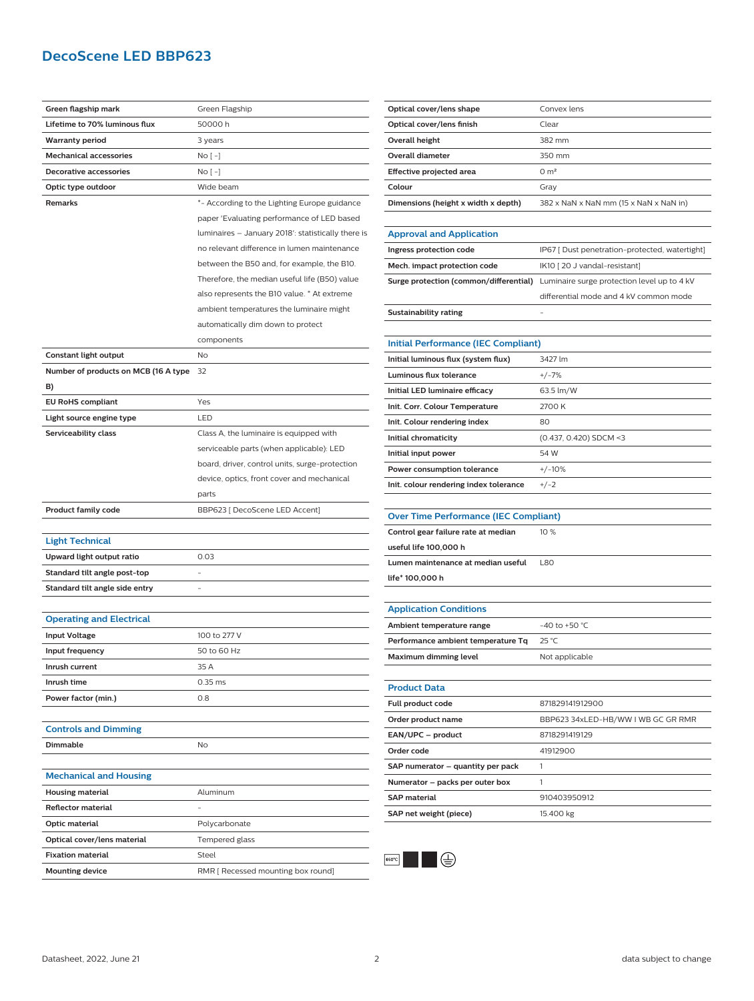## **DecoScene LED BBP623**

| Green flagship mark                  | Green Flagship                                     |
|--------------------------------------|----------------------------------------------------|
| Lifetime to 70% luminous flux        | 50000 h                                            |
| <b>Warranty period</b>               | 3 years                                            |
| <b>Mechanical accessories</b>        | No [ -]                                            |
| <b>Decorative accessories</b>        | No [ -]                                            |
| Optic type outdoor                   | Wide beam                                          |
| Remarks                              | *- According to the Lighting Europe guidance       |
|                                      | paper 'Evaluating performance of LED based         |
|                                      | luminaires - January 2018': statistically there is |
|                                      | no relevant difference in lumen maintenance        |
|                                      | between the B50 and, for example, the B10.         |
|                                      | Therefore, the median useful life (B50) value      |
|                                      | also represents the B10 value. * At extreme        |
|                                      | ambient temperatures the luminaire might           |
|                                      | automatically dim down to protect                  |
|                                      | components                                         |
| Constant light output                | No                                                 |
| Number of products on MCB (16 A type | 32                                                 |
| B)                                   |                                                    |
| <b>EU RoHS compliant</b>             | Yes                                                |
| Light source engine type             | LED                                                |
| Serviceability class                 | Class A, the luminaire is equipped with            |
|                                      | serviceable parts (when applicable): LED           |
|                                      | board, driver, control units, surge-protection     |
|                                      | device, optics, front cover and mechanical         |
|                                      | parts                                              |
| <b>Product family code</b>           | BBP623 [ DecoScene LED Accent]                     |
|                                      |                                                    |
| <b>Light Technical</b>               |                                                    |
| Upward light output ratio            | 0.03                                               |
| Standard tilt angle post-top         |                                                    |
| Standard tilt angle side entry       |                                                    |
|                                      |                                                    |
| <b>Operating and Electrical</b>      |                                                    |
| <b>Input Voltage</b>                 | 100 to 277 V                                       |
| Input frequency                      | 50 to 60 Hz                                        |
| Inrush current                       | 35 A                                               |
| Inrush time                          | $0.35$ ms                                          |
| Power factor (min.)                  | 0.8                                                |
|                                      |                                                    |
| <b>Controls and Dimming</b>          |                                                    |
| <b>Dimmable</b>                      | No                                                 |
|                                      |                                                    |
| <b>Mechanical and Housing</b>        |                                                    |
| <b>Housing material</b>              | Aluminum                                           |
| <b>Reflector material</b>            |                                                    |
| Optic material                       | Polycarbonate                                      |
| Optical cover/lens material          | Tempered glass                                     |
| <b>Fixation material</b>             | Steel                                              |
| <b>Mounting device</b>               | RMR [ Recessed mounting box round]                 |
|                                      |                                                    |

| Optical cover/lens shape            | Convex lens                            |
|-------------------------------------|----------------------------------------|
| Optical cover/lens finish           | Clear                                  |
| Overall height                      | 382 mm                                 |
| Overall diameter                    | 350 mm                                 |
| Effective projected area            | 0 m <sup>2</sup>                       |
| Colour                              | Grav                                   |
| Dimensions (height x width x depth) | 382 x NaN x NaN mm (15 x NaN x NaN in) |

| <b>Approval and Application</b> |                                                                                           |
|---------------------------------|-------------------------------------------------------------------------------------------|
| Ingress protection code         | IP67 [ Dust penetration-protected, watertight]                                            |
| Mech. impact protection code    | IK10 [20 J vandal-resistant]                                                              |
|                                 | <b>Surge protection (common/differential)</b> Luminaire surge protection level up to 4 kV |
|                                 | differential mode and 4 kV common mode                                                    |
| Sustainability rating           | -                                                                                         |

| Initial Performance (IEC Compliant)    |                        |
|----------------------------------------|------------------------|
| Initial luminous flux (system flux)    | 3427 lm                |
| Luminous flux tolerance                | $+/-7%$                |
| Initial LED luminaire efficacy         | 63.5 lm/W              |
| Init. Corr. Colour Temperature         | 2700 K                 |
| Init. Colour rendering index           | 80                     |
| Initial chromaticity                   | (0.437, 0.420) SDCM <3 |
| Initial input power                    | 54 W                   |
| Power consumption tolerance            | $+/-10%$               |
| Init. colour rendering index tolerance | $+/-2$                 |

| <b>Over Time Performance (IEC Compliant)</b> |                    |
|----------------------------------------------|--------------------|
| Control gear failure rate at median          | 10%                |
| useful life 100,000 h                        |                    |
| Lumen maintenance at median useful           | <b>L80</b>         |
| life* 100,000 h                              |                    |
|                                              |                    |
| <b>Application Conditions</b>                |                    |
| Ambient temperature range                    | $-40$ to $+50$ °C. |
| Derformance ambient temperature To           | ጋ5 °C              |

| Ambient temperature range          | $-40$ to +50 °C. |
|------------------------------------|------------------|
| Performance ambient temperature Tg | 25 °C            |
| Maximum dimming level              | Not applicable   |

| <b>Product Data</b>               |                                    |
|-----------------------------------|------------------------------------|
| <b>Full product code</b>          | 871829141912900                    |
| Order product name                | BBP623 34xLED-HB/WW I WB GC GR RMR |
| EAN/UPC - product                 | 8718291419129                      |
| Order code                        | 41912900                           |
| SAP numerator - quantity per pack |                                    |
| Numerator - packs per outer box   |                                    |
| <b>SAP</b> material               | 910403950912                       |
| SAP net weight (piece)            | 15.400 kg                          |